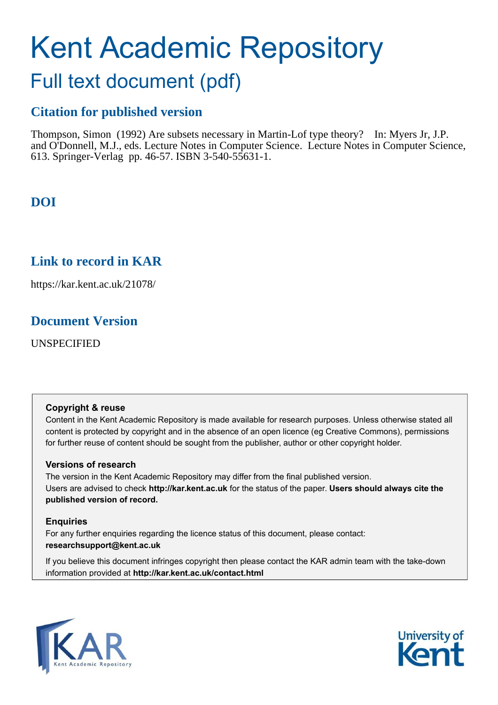# Kent Academic Repository

# Full text document (pdf)

# **Citation for published version**

Thompson, Simon (1992) Are subsets necessary in Martin-Lof type theory? In: Myers Jr, J.P. and O'Donnell, M.J., eds. Lecture Notes in Computer Science. Lecture Notes in Computer Science, 613. Springer-Verlag pp. 46-57. ISBN 3-540-55631-1.

# **DOI**

# **Link to record in KAR**

https://kar.kent.ac.uk/21078/

# **Document Version**

UNSPECIFIED

# **Copyright & reuse**

Content in the Kent Academic Repository is made available for research purposes. Unless otherwise stated all content is protected by copyright and in the absence of an open licence (eg Creative Commons), permissions for further reuse of content should be sought from the publisher, author or other copyright holder.

# **Versions of research**

The version in the Kent Academic Repository may differ from the final published version. Users are advised to check **http://kar.kent.ac.uk** for the status of the paper. **Users should always cite the published version of record.**

# **Enquiries**

For any further enquiries regarding the licence status of this document, please contact: **researchsupport@kent.ac.uk**

If you believe this document infringes copyright then please contact the KAR admin team with the take-down information provided at **http://kar.kent.ac.uk/contact.html**



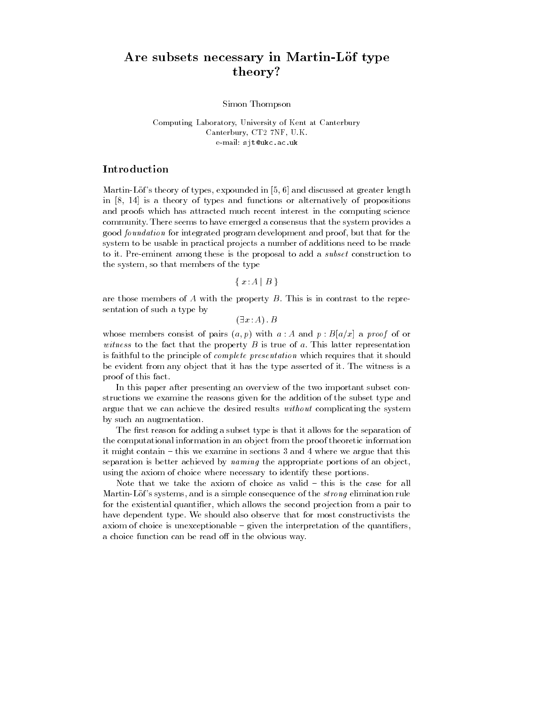# Are subsets necessary in Martin-Lof type theory

Simon Thompson

U VIII OO DIA UNIVERSITY OF LABORATORY OF LABORATORY OR WALLETING T Canterbury- CT NF- UK email sjt-ukcacuk

#### Introduction

theory and the stranger of the contracts of the theory of the contracts at greater at greater results and in is a theory of the state and functions of the state and the component of the propositions of the propositions of the state of the state of the state of the state of the state of the state of the state of the state of th and proofs which has attracted much recent the computing interest in the computing science of the computing sc community, there seems to have emerged a consensus that the system provides a good foundation for integrated program development and proof but that for the system to be usable in practical projects a number of additions need to be madeto it. I am needed all weer all the pre- we have to a subset and a subset construction to a subset of the system, so that members of the type

 $\{x:A \mid B\}$ 

are those methods of A with the property B . This is in contrast to the representation of suchatype by

 $(\exists x : A)$ .

whose members consist of pairs a p with a A and p Bax a proof of or with the fact that the state that property is the state of a measurement that the property and the control of is faithful to the principle of complete presentation which requires that it should be evident in this way on the shaws is has the type who can be it. In the within  $\alpha$ proof of this fact

In this paper after presenting an overview of the two important subset con structions we examine the reasons given for the addition of the subset type andargue that we can achieve the desired results with the desired with systems of the systems with the systems of by such an augmentation

The rst reason for adding a subset type is that it allows for the separation of the computational information in an object from the proof theoretic informationit might contain this we examine in sections and  where we argue that this separation is better achieved by naming the appropriate portions of an object using the antoin of choice where necessary to fuching these portfolio

Note that we take the axiom of choice as valid this is the case for all Martin-Lof s systems and is a simple consequence of the strong elimination rule for the existential quantifier, which allows the second projection from a pair to have avbendent type, he should absorber to that for most constructives the axiom of choice is unexceptionable  $-\frac{1}{2}$  given the interpretation of the quantifiers, a choice function can be read off in the obvious way.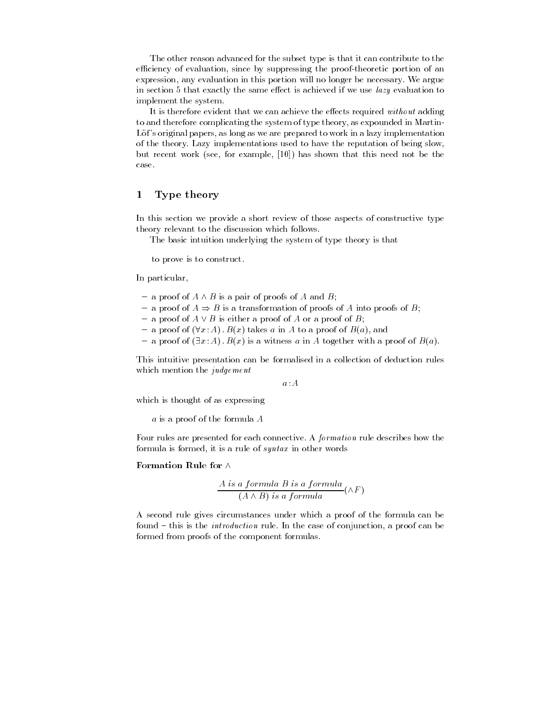The other reason advanced for the subset type is that it can contribute to the eciency of evaluation since by suppressing the proof-theoretic portion of an expression any evaluation in this portion will no longer be necessary
 We argue in section 5 that exactly the same effect is achieved if we use *lazy* evaluation to implement the system

It is therefore evident that we can achieve the effects required without adding to and therefore complicating the system of type theory as expounded in  $M$  type theory as exponential in  $M$ Lot's original papers, as long as we are prepared to work in a lazy implementation of the theory
 Lazy implementations used to have the reputation of being slow but recent work (see, for example,  $[10]$ ) has shown that this need not be the case.

#### $\mathbf{1}$ Type theory

In this section we provide a short review of those aspects of constructive type theory relevant to the discussion which follows

The basic intuition underlying the system of type theory is that

to prove is to construct

In particular

- a proof of  $A \wedge B$  is a pair of proofs of A and B;
- a proof of  $A \Rightarrow B$  is a transformation of proofs of A into proofs of B;
- a proof of  $A \vee B$  is either a proof of A or a proof of B;
- a proof of yourselves a management of the and the set  $\mathbb{R}^n$
- a province  $\{m\}$  is  $\{m\}$  in a constant with a proof of Barbara and Barbara and Barbara and Barbara and Ba

This intuitive presentation can be formalised in a collection of deduction rules which mention the judgement

 $a \cdot A$ 

which is thought of as expressing

a is a proof of the formula A

Four rules are presented for each connective. A *formation* rule describes how the formula is formed, it is a rule of *syntax* in other words

Formation Rule for  $\wedge$ 

$$
\frac{A \text{ is a formula } B \text{ is a formula}}{(A \land B) \text{ is a formula}} (\land F)
$$

A second rule gives circumstances under which a proof of the formula can be found  $-$  this is the *introduction* rule. In the case of conjunction, a proof can be formed from proofs of the component formulas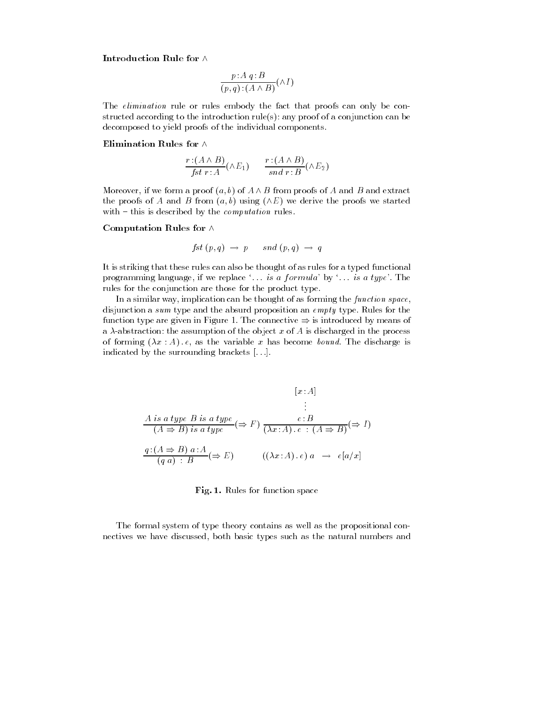#### Introduction Rule for

$$
\frac{p:A \ q:B}{(p,q):(A \land B)}(\land I)
$$

The elimination rule or rules embody the fact that proofs can only be con structed according to the introduction rules any proof of a conjunction can be decomposed to yield proofs of the individual components

#### Elimination Rules for

$$
\frac{r:(A \wedge B)}{fst\ r:A}(\wedge E_1) \qquad \frac{r:(A \wedge B)}{snd\ r:B}(\wedge E_2)
$$

Moreover, if we form a proof  $(a, b)$  of  $A \wedge B$  from proofs of A and B and extract the proofs of A was b a bigger of weight that the western proofs the proofs we with a this is described by the computation of the computation rules of the computation rules of the computation rules of the computation rules of the computation rules of the computation rules of the computation rules of

#### Computation Rules for  $\sim$

$$
fst(p,q) \rightarrow p \quad \text{and} (p,q) \rightarrow q
$$

It is striking that these rules can also be thought of as rules for a typed functionalprogramming language if we replace - it is a jointain by - it is a type - rice rules for the conjunction are those for the product type

In a similar way implication can be thought of a similar can be the function space implication space. distribution a sum type and the absurdance proposition and the application of the summer the stre function type are given in Figure 
 The connective is introduced by means of a - abstraction the assumption of the assumption of the object we can be a controlled the state in the process of forming  $i$  and variable construction of the contract of a substance and a second or a second of the second indicated by the surrounding brackets --- 

$$
[x:A]
$$
  
\n
$$
\vdots
$$
  
\n
$$
\begin{array}{c}\nA \text{ is a type } B \text{ is a type} \\
(A \Rightarrow B) \text{ is a type} \end{array} (\Rightarrow F) \frac{e:B}{(\lambda x:A).e : (A \Rightarrow B)} (\Rightarrow I)
$$
  
\n
$$
\frac{q:(A \Rightarrow B) \text{ a}:A}{(q \text{ a}) : B} (\Rightarrow E) \qquad ((\lambda x:A).e) \text{ a } \rightarrow e[a/x]
$$

s second the form in the form of the form of the form of the form of the form of the form of the form of the f

The formal system of type theory contains as well as the propositional con nectives we have discussed both basic types such as the natural numbers and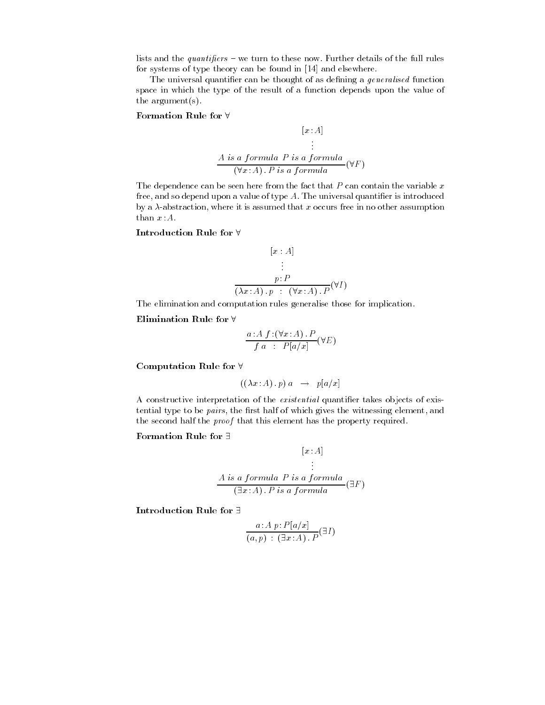lists and the quantifiers we turn to these now to the future details of the full rules for systems of type theory can be found in  $[14]$  and elsewhere.

The universal quantifier can be thought of as defining a *generalised* function space in which the type of the result of a function depends upon the value of the argument( $s$ ).

#### Formation Rule for

$$
[x : A]
$$
  
\n
$$
\vdots
$$
  
\n
$$
A \text{ is a formula } P \text{ is a formula}
$$
  
\n
$$
(\forall x : A) \cdot P \text{ is a formula} (\forall F)
$$

The dependence can be seen here from the fact that  $P$  can contain the variable  $x$ free, and so depend upon a value of type  $A$ . The universal quantifier is introduced by a -abstraction where it is assumed that x occurs free in no other assumption than  $x:A$ .

Introduction Rule for

$$
[x : A]
$$
  
\n
$$
\vdots
$$
  
\n
$$
p : P
$$
  
\n
$$
\overline{(\lambda x : A) \cdot p} : (\forall x : A) \cdot P}(\forall I)
$$

The elimination and computation rules generalise those for implication

#### Elimination Rule for

$$
\frac{a:A f:(\forall x:A) . P}{f a : P[a/x]} (\forall E)
$$

Computation Rule for

$$
((\lambda x:A) \cdot p) a \rightarrow p[a/x]
$$

A constructive interpretation of the existential quantier takes objects of exis tential type to be *pairs*, the first half of which gives the witnessing element, and the second half the *proof* that this element has the property required.

#### Formation Rule for -

$$
[x : A]
$$
  
\n
$$
\vdots
$$
  
\n
$$
A \text{ is a formula } P \text{ is a formula}
$$
  
\n
$$
(\exists x : A) . P \text{ is a formula} (\exists F)
$$

Introduction Rule for  $\exists$ 

$$
\frac{a:A p:P[a/x]}{(a,p):( \exists x:A)\, .\, P}(\exists I)
$$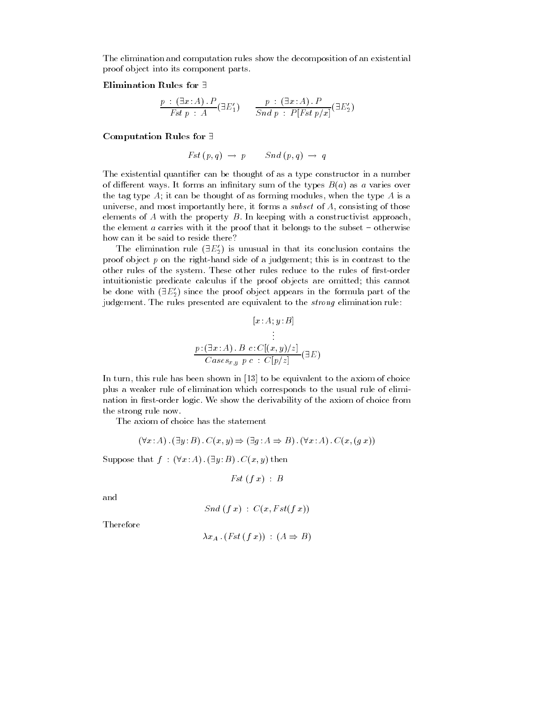The elimination and computation rules show the decomposition of an existential proof object into its component parts

$$
\frac{p \; : \; (\exists x:A) \; . \; P}{Fst \; p \; : \; A} (\exists E_1') \qquad \frac{p \; : \; (\exists x:A) \; . \; P}{Snd \; p \; : \; P[Fst \; p/x]} (\exists E_2')
$$

#### computation Rules for an analysis for  $-$

$$
Fst(p,q) \rightarrow p \qquad Snd(p,q) \rightarrow q
$$

The existential quantier can be thought of as a type constructor in a number of dierent was grown an interest was indeed wat a value of the two forms and was a various of the the tag type a it can be the tag throught of any forming modules when the thought the type A is a type A is a universe and most important in the most interest of A consisting of the A constant of the A constant of the M elements of the constructivity property for the modernia construction of the construction of the construction the element as carries with it the proof that it and the subset of the subset of the subset of the subset  $\sim$ how can it be said to reside there

The elimination rule  $\{\exists E_2\}$  is unusual in that its conclusion contains the proof object p on the right-hand side of a judgement this is in contrast to theother rules of the signal produce to the system and the rules of the rules of the rules of the rule intuitionistic predicate calculus if the proof objects are omitted this cannot be done with  $(E_2)$  since the proof object appears in the formula part of the in rules presented are rules in the rules presented and rules are are are an all are rules are rules and rules

$$
[x:A; y:B]
$$
  
\n
$$
\vdots
$$
  
\n
$$
p:(\exists x:A) \cdot B \ c:C[(x,y)/z]
$$
  
\n
$$
Cases_{x,y} p c:C[p/z]
$$
  
\n
$$
\exists E
$$

 $\mathbf{r}$ 

 $\overline{a}$ 

In turn, this rule has been shown in  $\vert x$  , to be equivalent to the antionical choice plus a weaker rule of elimination which corresponds to the usual rule of elimi and the show the derivative computer in the show that the show that the contractive of the show that the show the strong rule now

The axiom of choice has the statement

$$
(\forall x:A) . (\exists y:B) . C(x,y) \Rightarrow (\exists g:A \Rightarrow B) . (\forall x:A) . C(x,(g\ x))
$$

Suppose that f x A - -y B - Cx y then

$$
Fst\,\left(f\,x\right)\,:\,B
$$

and

$$
Snd(f\ x)\ :\ C(x,Fst(f\ x))
$$

Therefore

$$
\lambda x_A \cdot (Fst \ (f \ x)) \ : \ (A \Rightarrow B)
$$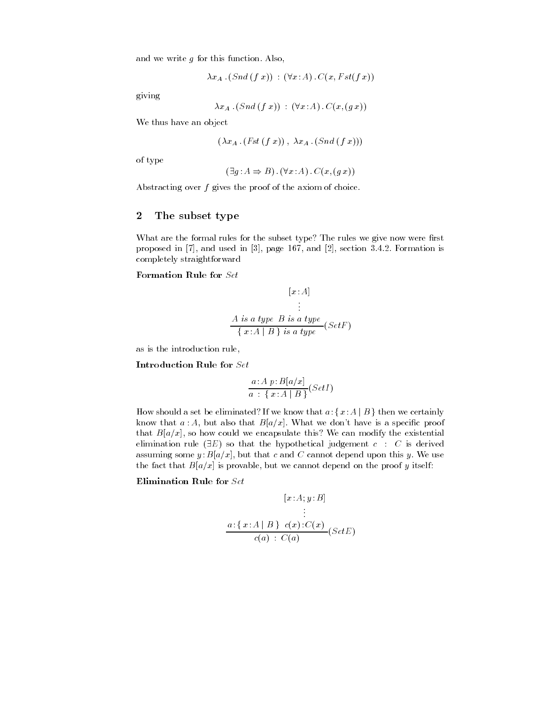and we write  $g$  for this function. Also,

$$
\lambda x_A \cdot (Snd (f x)) : (\forall x:A) \cdot C(x, Fst(f x))
$$

giving

$$
\lambda x_A \cdot (Snd (f x)) \div (\forall x A) \cdot C(x, (g x))
$$

We thus have an object

$$
(\lambda x_A \cdot (Fst (f x)) \cdot \lambda x_A \cdot (Snd (f x)))
$$

of type

$$
(\exists g: A \Rightarrow B) \cdot (\forall x: A) \cdot C(x, (g \ x))
$$

Abstracting over  $f$  gives the proof of the axiom of choice.

#### 2 The subset type

What are the formal rules for the subset type? The rules we give now were first proposed in  $[7]$ , and used in  $[3]$ , page 167, and  $[2]$ , section 3.4.2. Formation is completely straightforward

#### Formation Rule for Set

$$
[x : A]
$$
  
\n
$$
\vdots
$$
  
\n
$$
A \text{ is a type } B \text{ is a type}
$$
  
\n
$$
\{x : A \mid B \} \text{ is a type} (Set F)
$$

as is the introduction rule

Introduction Rule for Set

$$
\frac{a:A p:B[a/x]}{a\ :\ \{\ x:A\mid B\ \}}(Set I)
$$

How should a set be eliminated? If we know that  $a: \{x : A \mid B\}$  then we certainly know that  $a : A$ , but also that  $B[a/x]$ . What we don't have is a specific proof that  $B[a/x]$ , so how could we encapsulate this? We can modify the existential elimination rule  $(\exists E)$  so that the hypothetical judgement  $c : C$  is derived assuming some  $y: B[a/x]$ , but that c and C cannot depend upon this y. We use the fact that  $B[a/x]$  is provable, but we cannot depend on the proof y itself:

Elimination Rule for Set

$$
[x:A; y:B]
$$
  
\n
$$
\vdots
$$
  
\n
$$
a: \{x:A \mid B\} \cdot c(x): C(x)
$$
  
\n
$$
c(a): C(a)
$$
  
\n
$$
(Set E)
$$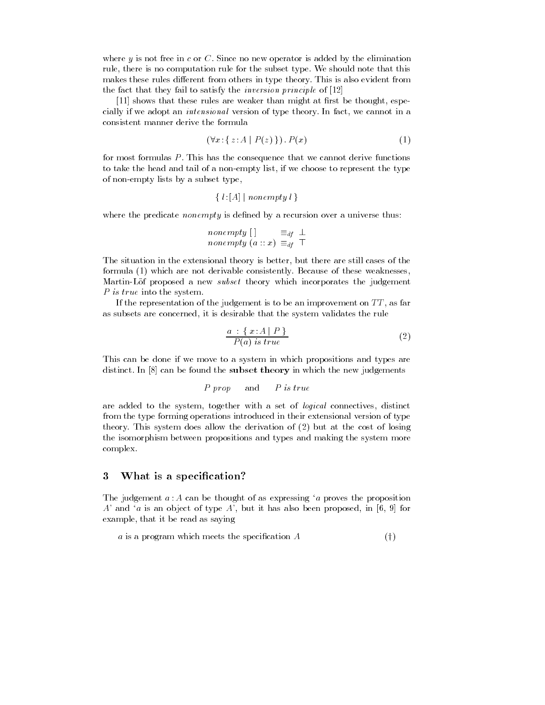where y is not free in c or C . Since its not operator is constant of the common and the state of the electronic rule, there is no computation rule for the subset type. We should note that this makes these rules different from others in type theory. This is also evident from the fact that they fail to satisfy the inversion principle of 

 $\frac{1}{2}$  shows these rules are weaker than might at rise be thought, especially if we adopt an intensional version of type theory
 In fact we cannot in a consistent manner derive the formula

$$
(\forall x: \{ z: A \mid P(z) \}) . P(x) \tag{1}
$$

the most formulas is the consequence that consequence the consequence and develop the consequence of the consequence to take the manual and the tail of weaker the head is if the the to represent the type to the t of home chapter have to perfect the construction of the construction of the construction of the construction of

$$
\{ l : [A] \mid nonempty \, l \}
$$

where the prediction nonempty is dened by a recursion of a second by a universe that the state through

$$
\begin{array}{l} \textit{nonempty} \; [\;] \qquad \equiv_{df} \; \bot \\ \textit{nonempty} \; (a::x) \; \equiv_{df} \; \top \end{array}
$$

The situation in the extensional theory is better, but there are still cases of the formula which are not derivable consistently
 Because of these weaknesses martin-ment proposed a new subset through increase through a subset the judgement. P is true into the system.

If the representation of the judgement is to be an improvement of the state of the state of  $\sim$  100  $\pm$ as subsets are concerned it is desirable that the system validates the rule

$$
\frac{a \div \{x:A \mid P\}}{P(a) \text{ is true}}\tag{2}
$$

This can be done if we may be done if we may be done in which propositions and the system in the types are typ which is the four contract the subset the subset of the subset of the subset of the model in which the new judgements of the subset of the subset of the subset of the subset of the subset of the subset of the subset of the

$$
P \text{ } prop \text{ and } P \text{ } is \text{ } true
$$

are added to the system together with a set of logical connectives distinction and from the type forming operations introduced in their extensional version of typetheory . This distribution wild a lost derivation of lost of lost of the cost of losting the isomorphism between propositions and the system and making the system more and more the system more of the complex

#### 3 What is a specification?

The judgement a late of a proposition of a proposition and a proposition of a proposition of the proposition o  $A'$  and 'a is an object of type  $A'$ , but it has also been proposed, in [6, 9] for example, that it be read as saying

a is a program which meets the specification  $A$  (†)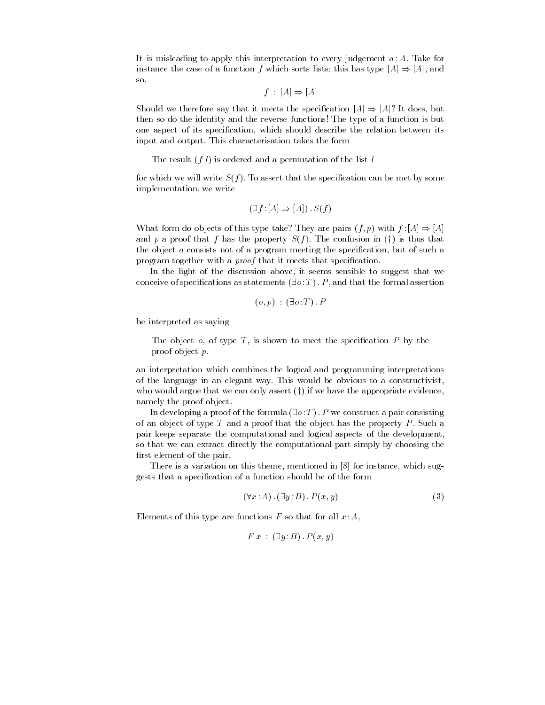It is mislead and the apply this interpretation to every judgement a later to the second and the second to the instrument the case of a function f which sorts the strate  $\alpha$ so

$$
f : [A] \Rightarrow [A]
$$

Show are the species say that it meets the species that it is a limit in the species but the species but it do then so do the identity and the reverse functions! The type of a function is but one aspect of its specication which should describe the relation between its input and output
 This characterisation takes the form

The result  $(f l)$  is ordered and a permutation of the list l

rat which we will write Sf as assert that the special context of interesting the species implementation we write

$$
(\exists f : [A] \Rightarrow [A]) \cdot S(f)
$$

What form do objects of this type take? They are pairs  $(f, p)$  with  $f : [A] \Rightarrow [A]$ and p a proof that f has the property Sf File confusion in the thus that the object a consists not of a program meeting the specication but of such a program together with a proof that it meets that specication

In the light of the discussion above it seems sensible to substant the suggest that we we conceive of specications as statements -o T - P and that the formal assertion

$$
(o, p) : (\exists o : T) . P
$$

be interpreted as saying

The object o of type T is shown to meet the specication P by the proof object p

and interpretations which complement and logical and programming interpretations in of the language in an elegant way to a construction of a construction of the construction of the construction who would argue that we can only assert  $(\dagger)$  if we have the appropriate evidence, namely the proof object

in developing a proof of the formula - if it is constructed a pair construction of was object of type I was a proof that the object have the property I watch pair keeps separate the computational and logical aspects of the development so that we can extract we computed the computational part simply by the choosing the first element of the pair.

A LEVE ON THE SURFACE MENTION ON THE STATE OF THE CHARGES IN THE THIS TO LARGE MENTION TO LARGE WHEN gests that a specification of a function should be of the form

$$
(\forall x:A) . (\exists y:B) . P(x,y) \tag{3}
$$

Elements of this time as the functions for a solution to the form of the form

$$
F\ x\ :\ (\exists y\ \vdots\ B)\ \ldotp P(x,y)
$$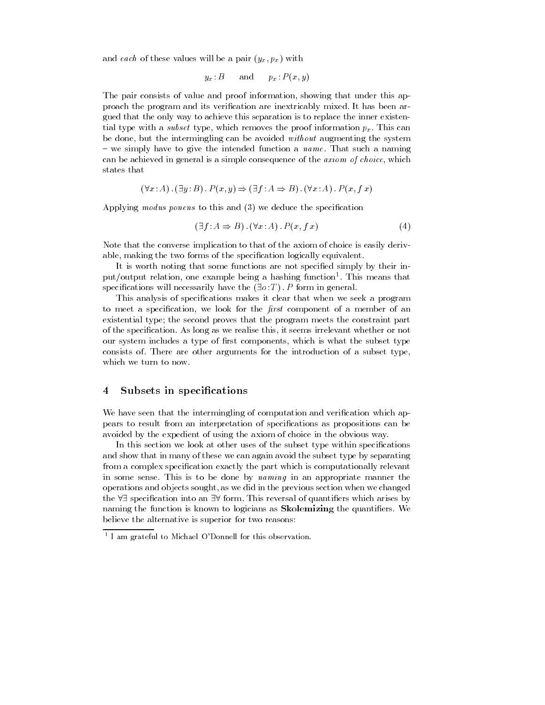and each of these values will be a pair  $(y_x, p_x)$  with

$$
y_x:B
$$
 and  $p_x:P(x,y)$ 

The pair consists of value and proof information showing that under this ap proach the program and its verication are inextricably mixed
 It has been ar gued that the only way to achieve this separation is to replace the inner existential type with a *subset* type, which removes the proof information  $p_x$ . This can be done, but the intermingling can be avoided *without* augmenting the system – we simply have to give the intended function a *name*. That such a naming can be achieved in general is a simple consequence of the  $axiom$  of choice, which

$$
(\forall x:A) . (\exists y:B) . P(x,y) \Rightarrow (\exists f:A \Rightarrow B) . (\forall x:A) . P(x,fx)
$$

Applying modus ponens to this and  $(3)$  we deduce the specification

$$
(\exists f:A \Rightarrow B) \cdot (\forall x:A) \cdot P(x,f\,x) \tag{4}
$$

Note that the converse implication to that of the axiom of choice is easily deriv able, making the two forms of the specification logically equivalent.

It is worth noting that some functions are not specified simply by their input/output relation, one example being a hashing function". This means that specialism in the methods will necessarily the second the ground methods of  $\mathbb{R}^n$ 

This analysis of specifications makes it clear that when we seek a program rs meet a specification, we look for the post-politicate of a member of an an existential type; the second proves that the program meets the constraint part of the specification. As long as we realise this, it seems irrelevant whether or not our system includes a type of first components, which is what the subset type consists of There are other arguments for the introduction of a subset type which we turn to now

#### $\overline{4}$ Subsets in specifications

we have seen that the interminingling of computation and verified which are  $\eta$ pears to result from an interpretation of specifications as propositions can be avoided by the expedient of using the axiom of choice in the obvious way

In this section we look at other uses of the subset type within specifications and show that in many of these we can again avoid the subset type by separating from a complex specification exactly the part which is computationally relevant in some sense This is to be done by naming in an appropriate manner the operations and objects sought, as we did in the previous section when we changed the the specification into an extra straight arises by quantities which are straight naming the function is known to logicians as Skolemizing the quantifiers. We believe the alternative is superior for two reasons

 $^\circ$  1 am grateful to Michael O $^\prime$ Donnell for this observation.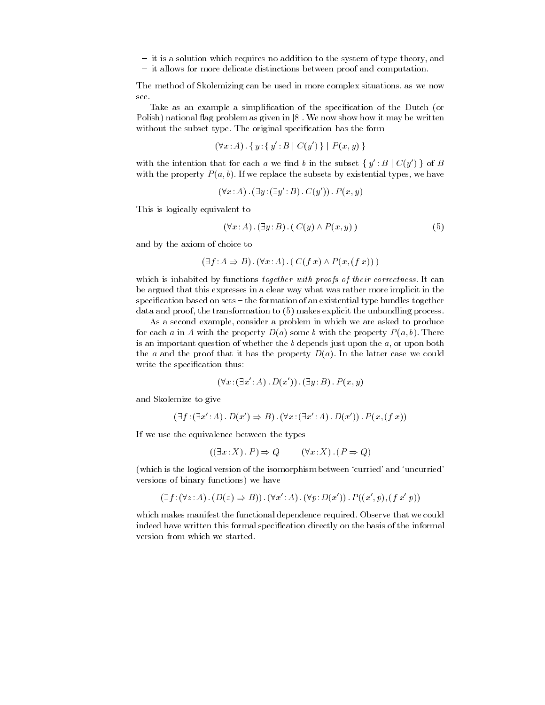- it is a solution which requires no addition to the system of type theory, and
- it allows for more delicate distinctions between proof and computation.

The method of Skolemizing can be used in more complex situations, as we now see.

Take as an example a simplification of the specification of the Dutch (or Polish national ag problem as given in 
 We now show how it may be written without the subset type. The original specification has the form

$$
(\forall x:A) . \{ y : \{ y': B \mid C(y') \} \mid P(x,y) \}
$$

with the intention that for each a we find b in the subset  $\{y':B\mid C(y')\}$  of B with the property  $P(a, b)$ . If we replace the subsets by existential types, we have

$$
(\forall x:A)
$$
.  $(\exists y:(\exists y':B)$ .  $C(y'))$ .  $P(x,y)$ 

This is logically equivalent to

$$
(\forall x:A) . (\exists y:B) . (C(y) \wedge P(x,y)) \tag{5}
$$

and by the axiom of choice to

$$
(\exists f:A \Rightarrow B) \cdot (\forall x:A) \cdot (C(f\ x) \wedge P(x,(f\ x)))
$$

which is inhabited by functions *together with proofs of their correctness*. It can be argued that this expresses in a clear way what was rather more implicit in the specification based on sets  $-$  the formation of an existential type bundles together data and proof, the transformation to  $(5)$  makes explicit the unbundling process.

As a second example, consider a problem in which we are asked to produce for each a in A with the property  $D(a)$  some b with the property  $P(a, b)$ . There is an important question of whether the  $b$  depends just upon the  $a$ , or upon both the a and the proof that it has the property  $D(a)$ . In the latter case we could write the specification thus:

$$
(\forall x: (\exists x': A) . D(x')) . (\exists y: B) . P(x, y)
$$

and Skolemize to give

$$
(\exists f: (\exists x': A) \cdot D(x') \Rightarrow B) \cdot (\forall x: (\exists x': A) \cdot D(x')) \cdot P(x, (fx))
$$

If we use the equivalence between the types

$$
((\exists x:X) . P) \Rightarrow Q \qquad (\forall x:X) . (P \Rightarrow Q)
$$

(which is the logical version of the isomorphism between 'curried' and 'uncurried' versions of binary functions) we have

$$
(\exists f: (\forall z:A) \cdot (D(z) \Rightarrow B)) \cdot (\forall x': A) \cdot (\forall p: D(x')) \cdot P((x', p), (f x' p))
$$

which makes manifest the functional dependence required
 Observe that we could indeed have written this formal specification directly on the basis of the informal version from which we started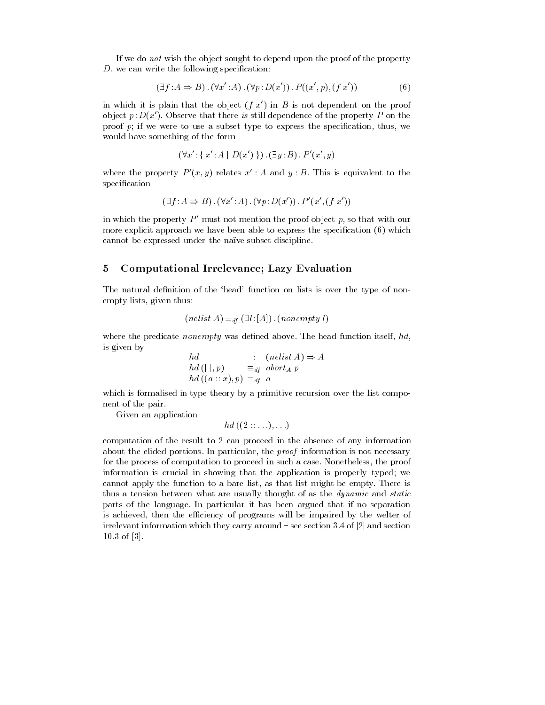If we do not wish the object sought to depend up the site proof of the property.  $D$ , we can write the following specification:

$$
(\exists f:A \Rightarrow B) \cdot (\forall x': A) \cdot (\forall p:D(x')) \cdot P((x',p),(f\ x')) \tag{6}
$$

in which it is plain that the object  $(T \ x + \text{in} \ B$  is not dependent on the proof object  $p$  .  $D(x)$  . Observe that there is still dependence of the property  $P$  on the proof himself we were to use a subset the to express the special subset the special the would have something of the form

$$
(\forall x': \{x': A \mid D(x')\}) . (\exists y : B) . P'(x', y)
$$

where the property  $P_1(x, y)$  relates  $x \in A$  and  $y \in B$ . This is equivalent to the specification.

$$
(\exists f : A \Rightarrow B) \cdot (\forall x' : A) \cdot (\forall p : D(x')) \cdot P'(x', (f x'))
$$

in which the property  $P$  -must not mention the proof object  $p$ , so that with our more explicit approach we have been able to express the specification  $(6)$  which cannot be expressed under the narre subset discipline.

#### 5 Computational Irrelevance; Lazy Evaluation

The natural denition of the head function on lists is over the type of non empty lists, given thus:

(*nelist A*) 
$$
\equiv_{dt}
$$
 ( $\exists l : [A]$ ). (*nonempty l*)

where the predicate nonempty was denimined above a complete above the second above the second itself hold  $\sim$  given by

$$
hd \qquad : \quad (nelist \ A) \Rightarrow A
$$
  

$$
hd ([], p) \equiv_{df} abort_A p
$$
  

$$
hd ((a :: x), p) \equiv_{df} a
$$

which is formalised in type theory by a primitive executivity over the list component of the pair.

Given an application

$$
hd((2:\ldots),\ldots)
$$

compute a result of the results to a cant proceed in the absolution of any interestion in about the eliminar portions in particular the proof in the proof international in the monometry for the process of computation to proceed in such a case
 Nonetheless the proof information is crucial in showing that the application is properly typed we cannot apply the function to a bare is the list of the state of the state and the state of the defect of thus a tension between what are usually thought of as the dynamic and static parts of the language, in particular it has been argued that it ho separation is achieved then the eciency of programs will be impaired by the welter of irrelevant information which they carry around  $-$  see section 3.4 of [2] and section  $10.3$  of  $[3]$ .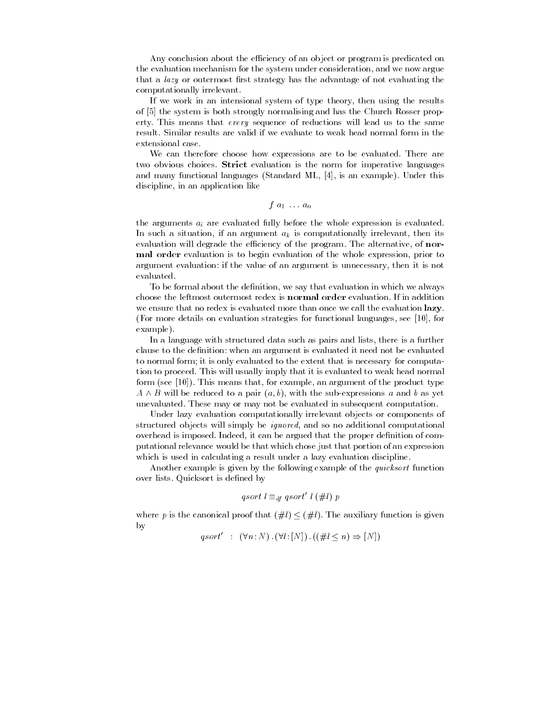Any conclusion about the efficiency of an object or program is predicated on the evaluation mechanism for the system under consideration, and we now argue that a *lazy* or outermost first strategy has the advantage of not evaluating the computationally irrelevant

If we work in an intensional system of type theory then using the results of [5] the system is both strongly normalising and has the Church Rosser property. This means that *every* sequence of reductions will lead us to the same result
 Similar results are valid if we evaluate to weak head normal form in the extensional case

We can therefore choose how expressions are to be evaluated There are two obvious choices Strict evaluation is the norm for imperative languages and many functional languages (Standard ML,  $[4]$ , is an example). Under this discipline, in an application like

f a --- an

the arguments  $a_i$  are evaluated fully before the whole expression is evaluated. In such a situation, if an argument  $a_k$  is computationally irrelevant, then its evaluation will degrade the efficiency of the program. The alternative, of normal order evaluation is to begin evaluation of the whole expression, prior to argument evaluation if the value of an argument is unnecessary then it is not evaluated

To be formal about the definition, we say that evaluation in which we always choose the leftmost outermost redex is normal order evaluation
 If in addition we ensure that no redex is evaluated more than once we call the evaluation lazy. (For more details on evaluation strategies for functional languages, see  $[10]$ , for example).

In a language with structured data such as pairs and lists, there is a further clause to the definition: when an argument is evaluated it need not be evaluated to normal form; it is only evaluated to the extent that is necessary for computation to proceed
 This will usually imply that it is evaluated to weak head normal form (see  $\lceil 10 \rceil$ ). This means that, for example, an argument of the product type A B will be reduced to a pair a b with the sub-expressions a and b as yet unevaluated
 These may or may not be evaluated in subsequent computation

Under lazy evaluation computationally irrelevant objects or components of structured objects will simply be *ignored*, and so no additional computational overhead is imposed
 Indeed it can be argued that the proper denition of com putational relevance would be that which chose just that portion of an expression which is used in calculating a result under a lazy evaluation discipline.

Another example is given by the following example of the quicksort function over lists. Quicksort is defined by

$$
qsort l \equiv_{df} qsort' l (\#l) p
$$

where p is the canonical proof that  $(\#l) < (\#l)$ . The auxiliary function is given by

 $qsort$  :  $(\forall n : N)$  ,  $(\forall l : |N|)$  ,  $((\#l \leq n) \Rightarrow |N|)$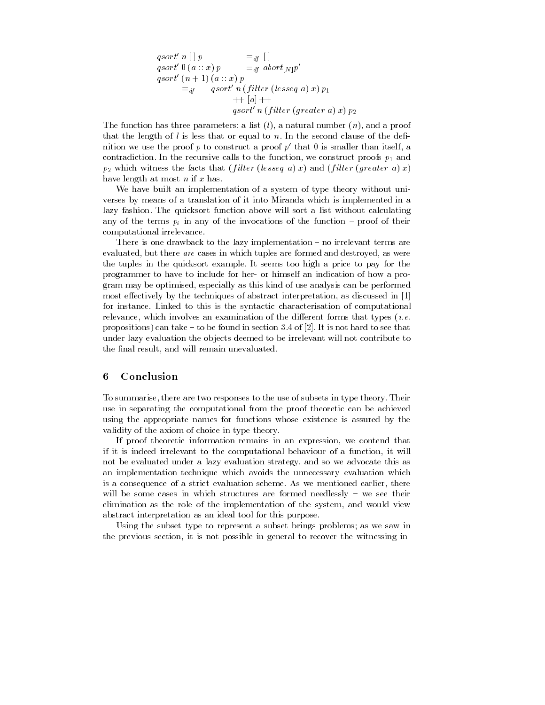$$
qsort' n [] p =_{df} []
$$
  
\n
$$
qsort' 0 (a :: x) p =_{df} abort_{[N]} p'
$$
  
\n
$$
qsort' (n + 1) (a :: x) p
$$
  
\n
$$
=_{df} qsort' n (filter (less eq a) x) p_1
$$
  
\n
$$
+ [a] +
$$
  
\n
$$
qsort' n (filter (greater a) x) p_2
$$

The function has three parameters: a list  $(l)$ , a natural number  $(n)$ , and a proof that the length of the less that of equal to nt in the second clause of the dell nition we use the proof  $p$  to construct a proof  $p$  -that  $0$  is smaller than itself, a contradiction. In the recursive calls to the function, we construct proofs  $p_1$  and p-2 which witness the facts that flutter (tesseq a) a) and flutter (yreater a) a) have length at most  $n$  if  $x$  has.

we have built and implementation of a system of type theory without universes by means of a translation of it into Miranda which is implemented in a lazy fashion
 The quicksort function above will sort a list without calculating any of the terms  $p_i$  in any of the invocations of the function  $-$  proof of their computational irrelevance

There is one drawback to the lazy implementation  $-$  no irrelevant terms are evaluated, but there are cases in which tuples are formed and destroyed, as were the tuples in the quicksort example
 It seems too high a price to pay for the programmer to have to include for her- or himself an indication of how a program may be optimised especially as this kind of use analysis can be performed most effectively by the techniques of abstract interpretation, as discussed in  $[1]$ for instance Linked to this is the syntactic characterisation of computational relevance, which involves an examination of the different forms that types *(i.e.* propositions) can take  $-$  to be found in section 3.4 of [2]. It is not hard to see that under lazy evaluation the objects deemed to be irrelevant will not contribute to the final result, and will remain unevaluated.

#### 6 Conclusion

To summarise, there are two responses to the use of subsets in type theory. Their use in separating the computational from the proof theoretic can be achieved using the appropriate names for functions whose existence is assured by the validity of the axiom of choice in type theory

If proof theoretic information remains in an expression, we contend that if it is indeed irrelevant to the computational behaviour of a function it will not be evaluated under a lazy evaluation strategy and so we advocate this as an implementation technique which avoids the unnecessary evaluation which is a consequence of a strict evaluation scheme. As we mentioned earlier, there will be some cases in which structures are formed needlessly  $-$  we see their elimination as the role of the implementation of the system, and would view abstract interpretation as an ideal tool for this purpose

Using the subset type to represent a subset brings problems; as we saw in the previous section, it is not possible in general to recover the witnessing in-